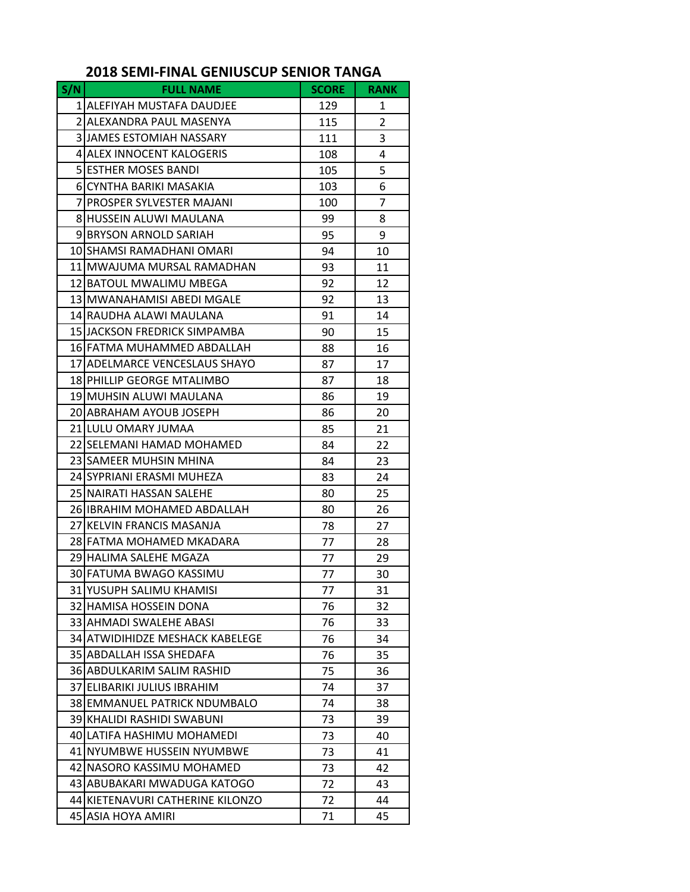## **2018 SEMI‐FINAL GENIUSCUP SENIOR TANGA**

| S/N | <b>FULL NAME</b>                 | <b>SCORE</b> | <b>RANK</b>    |
|-----|----------------------------------|--------------|----------------|
|     | 1 ALEFIYAH MUSTAFA DAUDJEE       | 129          | 1              |
|     | 2 ALEXANDRA PAUL MASENYA         | 115          | $\overline{2}$ |
|     | <b>3 JJAMES ESTOMIAH NASSARY</b> | 111          | 3              |
|     | 4 ALEX INNOCENT KALOGERIS        | 108          | 4              |
|     | <b>5 ESTHER MOSES BANDI</b>      | 105          | 5              |
|     | 6 CYNTHA BARIKI MASAKIA          | 103          | 6              |
|     | 7 PROSPER SYLVESTER MAJANI       | 100          | 7              |
|     | 8 HUSSEIN ALUWI MAULANA          | 99           | 8              |
|     | 9 BRYSON ARNOLD SARIAH           | 95           | 9              |
|     | 10 SHAMSI RAMADHANI OMARI        | 94           | 10             |
|     | 11 MWAJUMA MURSAL RAMADHAN       | 93           | 11             |
|     | 12 BATOUL MWALIMU MBEGA          | 92           | 12             |
|     | 13 MWANAHAMISI ABEDI MGALE       | 92           | 13             |
|     | 14 RAUDHA ALAWI MAULANA          | 91           | 14             |
|     | 15 JJACKSON FREDRICK SIMPAMBA    | 90           | 15             |
|     | 16 FATMA MUHAMMED ABDALLAH       | 88           | 16             |
|     | 17 ADELMARCE VENCESLAUS SHAYO    | 87           | 17             |
|     | 18 PHILLIP GEORGE MTALIMBO       | 87           | 18             |
|     | 19 MUHSIN ALUWI MAULANA          | 86           | 19             |
|     | 20 ABRAHAM AYOUB JOSEPH          | 86           | 20             |
|     | 21 LULU OMARY JUMAA              | 85           | 21             |
|     | 22 SELEMANI HAMAD MOHAMED        | 84           | 22             |
|     | 23 SAMEER MUHSIN MHINA           | 84           | 23             |
|     | 24 SYPRIANI ERASMI MUHEZA        | 83           | 24             |
|     | 25 NAIRATI HASSAN SALEHE         | 80           | 25             |
|     | 26 IIBRAHIM MOHAMED ABDALLAH     | 80           | 26             |
|     | 27 KELVIN FRANCIS MASANJA        | 78           | 27             |
|     | 28 FATMA MOHAMED MKADARA         | 77           | 28             |
|     | 29 HALIMA SALEHE MGAZA           | 77           | 29             |
|     | 30 FATUMA BWAGO KASSIMU          | 77           | 30             |
|     | 31 YUSUPH SALIMU KHAMISI         | 77           | 31             |
|     | 32 HAMISA HOSSEIN DONA           | 76           | 32             |
|     | 33 AHMADI SWALEHE ABASI          | 76           | 33             |
|     | 34 ATWIDIHIDZE MESHACK KABELEGE  | 76           | 34             |
|     | 35 ABDALLAH ISSA SHEDAFA         | 76           | 35             |
|     | 36 ABDULKARIM SALIM RASHID       | 75           | 36             |
|     | 37 ELIBARIKI JULIUS IBRAHIM      | 74           | 37             |
|     | 38 EMMANUEL PATRICK NDUMBALO     | 74           | 38             |
|     | 39 KHALIDI RASHIDI SWABUNI       | 73           | 39             |
|     | 40 LATIFA HASHIMU MOHAMEDI       | 73           | 40             |
|     | 41 NYUMBWE HUSSEIN NYUMBWE       | 73           | 41             |
|     | 42 NASORO KASSIMU MOHAMED        | 73           | 42             |
|     | 43 ABUBAKARI MWADUGA KATOGO      | 72           | 43             |
|     | 44 KIETENAVURI CATHERINE KILONZO | 72           | 44             |
|     | 45 ASIA HOYA AMIRI               | 71           | 45             |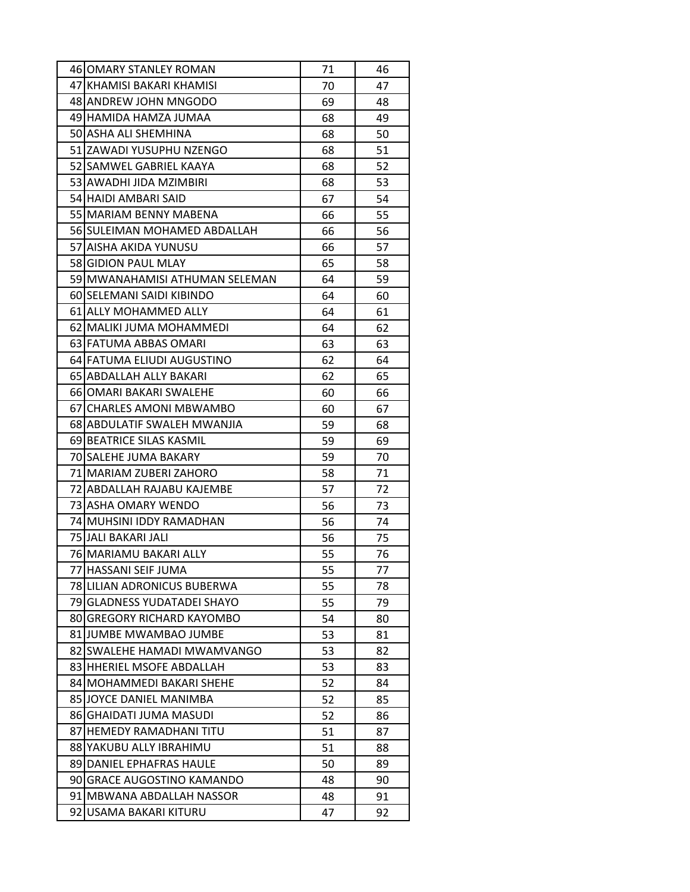|    | 46 OMARY STANLEY ROMAN         | 71 | 46 |
|----|--------------------------------|----|----|
|    | 47 KHAMISI BAKARI KHAMISI      | 70 | 47 |
|    | 48 ANDREW JOHN MNGODO          | 69 | 48 |
|    | 49 HAMIDA HAMZA JUMAA          | 68 | 49 |
|    | 50 ASHA ALI SHEMHINA           | 68 | 50 |
|    | 51 IZAWADI YUSUPHU NZENGO      | 68 | 51 |
|    | 52 SAMWEL GABRIEL KAAYA        | 68 | 52 |
|    | 53 AWADHI JIDA MZIMBIRI        | 68 | 53 |
|    | 54 HAIDI AMBARI SAID           | 67 | 54 |
|    | 55 MARIAM BENNY MABENA         | 66 | 55 |
|    | 56 SULEIMAN MOHAMED ABDALLAH   | 66 | 56 |
|    | 57 AISHA AKIDA YUNUSU          | 66 | 57 |
|    | 58 GIDION PAUL MLAY            | 65 | 58 |
|    | 59 MWANAHAMISI ATHUMAN SELEMAN | 64 | 59 |
|    | 60 SELEMANI SAIDI KIBINDO      | 64 | 60 |
|    | 61 ALLY MOHAMMED ALLY          | 64 | 61 |
|    | 62 MALIKI JUMA MOHAMMEDI       | 64 | 62 |
|    | 63 FATUMA ABBAS OMARI          | 63 | 63 |
|    | 64 FATUMA ELIUDI AUGUSTINO     | 62 | 64 |
|    | 65 ABDALLAH ALLY BAKARI        | 62 | 65 |
|    | 6610MARI BAKARI SWALEHE        | 60 | 66 |
|    | 67 CHARLES AMONI MBWAMBO       | 60 | 67 |
|    | 68 ABDULATIF SWALEH MWANJIA    | 59 | 68 |
|    | 69 BEATRICE SILAS KASMIL       | 59 | 69 |
|    | 70 SALEHE JUMA BAKARY          | 59 | 70 |
|    | 71 MARIAM ZUBERI ZAHORO        | 58 | 71 |
|    | 72 ABDALLAH RAJABU KAJEMBE     | 57 | 72 |
|    | 73 ASHA OMARY WENDO            | 56 | 73 |
|    | 74 MUHSINI IDDY RAMADHAN       | 56 | 74 |
|    | 75 JALI BAKARI JALI            | 56 | 75 |
|    | 76 MARIAMU BAKARI ALLY         | 55 | 76 |
|    | 77 HASSANI SEIF JUMA           | 55 | 77 |
|    | 78 LILIAN ADRONICUS BUBERWA    | 55 | 78 |
|    | 79 GLADNESS YUDATADEI SHAYO    | 55 | 79 |
|    | 80 GREGORY RICHARD KAYOMBO     | 54 | 80 |
|    | 81 JUMBE MWAMBAO JUMBE         | 53 | 81 |
|    | 82 SWALEHE HAMADI MWAMVANGO    | 53 | 82 |
|    | 83 HHERIEL MSOFE ABDALLAH      | 53 | 83 |
|    | 84 MOHAMMEDI BAKARI SHEHE      | 52 | 84 |
|    | 85 JOYCE DANIEL MANIMBA        | 52 | 85 |
|    | 86 GHAIDATI JUMA MASUDI        | 52 | 86 |
| 87 | HEMEDY RAMADHANI TITU          | 51 | 87 |
|    | 88 YAKUBU ALLY IBRAHIMU        | 51 | 88 |
|    | 89 DANIEL EPHAFRAS HAULE       | 50 | 89 |
|    | 90 GRACE AUGOSTINO KAMANDO     | 48 | 90 |
|    | 91 MBWANA ABDALLAH NASSOR      | 48 | 91 |
| 92 | USAMA BAKARI KITURU            | 47 | 92 |